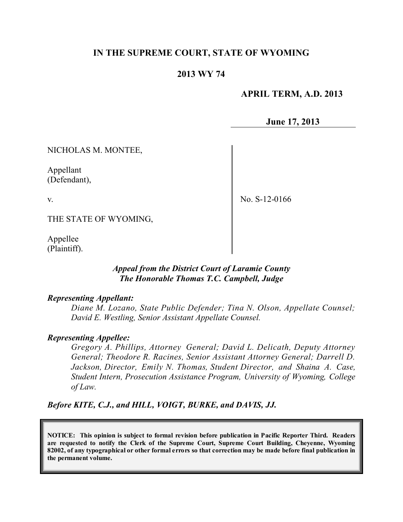## **IN THE SUPREME COURT, STATE OF WYOMING**

## **2013 WY 74**

### **APRIL TERM, A.D. 2013**

**June 17, 2013**

NICHOLAS M. MONTEE,

Appellant (Defendant),

v.

No. S-12-0166

THE STATE OF WYOMING,

Appellee (Plaintiff).

## *Appeal from the District Court of Laramie County The Honorable Thomas T.C. Campbell, Judge*

#### *Representing Appellant:*

*Diane M. Lozano, State Public Defender; Tina N. Olson, Appellate Counsel; David E. Westling, Senior Assistant Appellate Counsel.*

#### *Representing Appellee:*

*Gregory A. Phillips, Attorney General; David L. Delicath, Deputy Attorney General; Theodore R. Racines, Senior Assistant Attorney General; Darrell D. Jackson, Director, Emily N. Thomas, Student Director, and Shaina A. Case, Student Intern, Prosecution Assistance Program, University of Wyoming, College of Law.*

*Before KITE, C.J., and HILL, VOIGT, BURKE, and DAVIS, JJ.*

**NOTICE: This opinion is subject to formal revision before publication in Pacific Reporter Third. Readers are requested to notify the Clerk of the Supreme Court, Supreme Court Building, Cheyenne, Wyoming** 82002, of any typographical or other formal errors so that correction may be made before final publication in **the permanent volume.**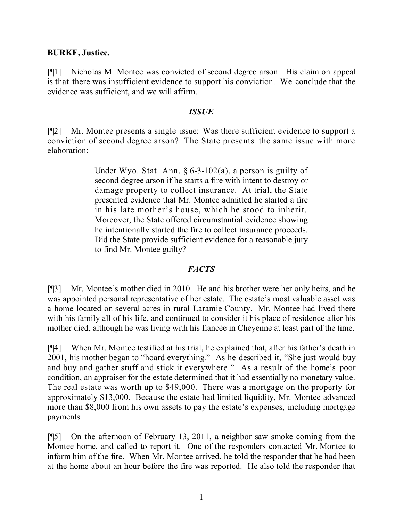### **BURKE, Justice.**

[¶1] Nicholas M. Montee was convicted of second degree arson. His claim on appeal is that there was insufficient evidence to support his conviction. We conclude that the evidence was sufficient, and we will affirm.

## *ISSUE*

[¶2] Mr. Montee presents a single issue: Was there sufficient evidence to support a conviction of second degree arson? The State presents the same issue with more elaboration:

> Under Wyo. Stat. Ann.  $\S 6$ -3-102(a), a person is guilty of second degree arson if he starts a fire with intent to destroy or damage property to collect insurance. At trial, the State presented evidence that Mr. Montee admitted he started a fire in his late mother's house, which he stood to inherit. Moreover, the State offered circumstantial evidence showing he intentionally started the fire to collect insurance proceeds. Did the State provide sufficient evidence for a reasonable jury to find Mr. Montee guilty?

## *FACTS*

[¶3] Mr. Montee's mother died in 2010. He and his brother were her only heirs, and he was appointed personal representative of her estate. The estate's most valuable asset was a home located on several acres in rural Laramie County. Mr. Montee had lived there with his family all of his life, and continued to consider it his place of residence after his mother died, although he was living with his fiancée in Cheyenne at least part of the time.

[¶4] When Mr. Montee testified at his trial, he explained that, after his father's death in 2001, his mother began to "hoard everything." As he described it, "She just would buy and buy and gather stuff and stick it everywhere." As a result of the home's poor condition, an appraiser for the estate determined that it had essentially no monetary value. The real estate was worth up to \$49,000. There was a mortgage on the property for approximately \$13,000. Because the estate had limited liquidity, Mr. Montee advanced more than \$8,000 from his own assets to pay the estate's expenses, including mortgage payments.

[¶5] On the afternoon of February 13, 2011, a neighbor saw smoke coming from the Montee home, and called to report it. One of the responders contacted Mr. Montee to inform him of the fire. When Mr. Montee arrived, he told the responder that he had been at the home about an hour before the fire was reported. He also told the responder that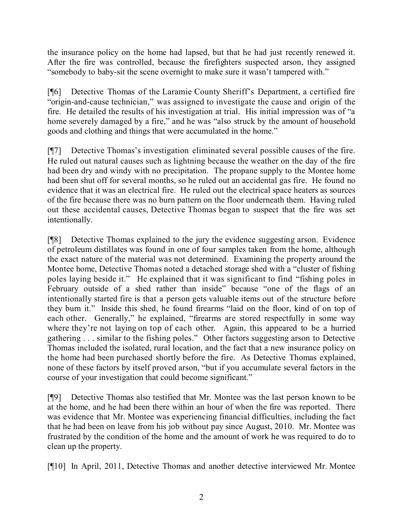the insurance policy on the home had lapsed, but that he had just recently renewed it. After the fire was controlled, because the firefighters suspected arson, they assigned "somebody to baby-sit the scene overnight to make sure it wasn't tampered with."

[¶6] Detective Thomas of the Laramie County Sheriff's Department, a certified fire "origin-and-cause technician," was assigned to investigate the cause and origin of the fire. He detailed the results of his investigation at trial. His initial impression was of "a home severely damaged by a fire," and he was "also struck by the amount of household goods and clothing and things that were accumulated in the home."

[¶7] Detective Thomas's investigation eliminated several possible causes of the fire. He ruled out natural causes such as lightning because the weather on the day of the fire had been dry and windy with no precipitation. The propane supply to the Montee home had been shut off for several months, so he ruled out an accidental gas fire. He found no evidence that it was an electrical fire. He ruled out the electrical space heaters as sources of the fire because there was no burn pattern on the floor underneath them. Having ruled out these accidental causes, Detective Thomas began to suspect that the fire was set intentionally.

[¶8] Detective Thomas explained to the jury the evidence suggesting arson. Evidence of petroleum distillates was found in one of four samples taken from the home, although the exact nature of the material was not determined. Examining the property around the Montee home, Detective Thomas noted a detached storage shed with a "cluster of fishing poles laying beside it." He explained that it was significant to find "fishing poles in February outside of a shed rather than inside" because "one of the flags of an intentionally started fire is that a person gets valuable items out of the structure before they burn it." Inside this shed, he found firearms "laid on the floor, kind of on top of each other. Generally," he explained, "firearms are stored respectfully in some way where they're not laying on top of each other. Again, this appeared to be a hurried gathering . . . similar to the fishing poles." Other factors suggesting arson to Detective Thomas included the isolated, rural location, and the fact that a new insurance policy on the home had been purchased shortly before the fire. As Detective Thomas explained, none of these factors by itself proved arson, "but if you accumulate several factors in the course of your investigation that could become significant."

[¶9] Detective Thomas also testified that Mr. Montee was the last person known to be at the home, and he had been there within an hour of when the fire was reported. There was evidence that Mr. Montee was experiencing financial difficulties, including the fact that he had been on leave from his job without pay since August, 2010. Mr. Montee was frustrated by the condition of the home and the amount of work he was required to do to clean up the property.

[¶10] In April, 2011, Detective Thomas and another detective interviewed Mr. Montee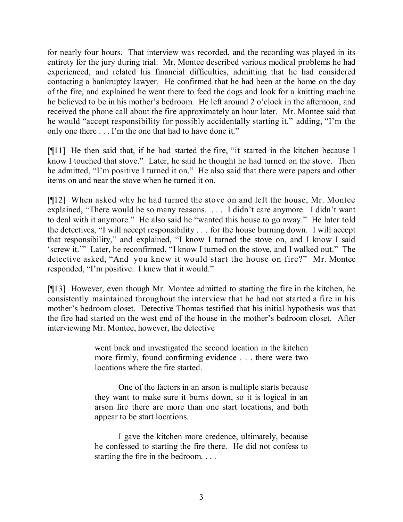for nearly four hours. That interview was recorded, and the recording was played in its entirety for the jury during trial. Mr. Montee described various medical problems he had experienced, and related his financial difficulties, admitting that he had considered contacting a bankruptcy lawyer. He confirmed that he had been at the home on the day of the fire, and explained he went there to feed the dogs and look for a knitting machine he believed to be in his mother's bedroom. He left around 2 o'clock in the afternoon, and received the phone call about the fire approximately an hour later. Mr. Montee said that he would "accept responsibility for possibly accidentally starting it," adding, "I'm the only one there . . . I'm the one that had to have done it."

[¶11] He then said that, if he had started the fire, "it started in the kitchen because I know I touched that stove." Later, he said he thought he had turned on the stove. Then he admitted, "I'm positive I turned it on." He also said that there were papers and other items on and near the stove when he turned it on.

[¶12] When asked why he had turned the stove on and left the house, Mr. Montee explained, "There would be so many reasons. . . . I didn't care anymore. I didn't want to deal with it anymore." He also said he "wanted this house to go away." He later told the detectives, "I will accept responsibility . . . for the house burning down. I will accept that responsibility," and explained, "I know I turned the stove on, and I know I said 'screw it.'" Later, he reconfirmed, "I know I turned on the stove, and I walked out." The detective asked, "And you knew it would start the house on fire?" Mr. Montee responded, "I'm positive. I knew that it would."

[¶13] However, even though Mr. Montee admitted to starting the fire in the kitchen, he consistently maintained throughout the interview that he had not started a fire in his mother's bedroom closet. Detective Thomas testified that his initial hypothesis was that the fire had started on the west end of the house in the mother's bedroom closet. After interviewing Mr. Montee, however, the detective

> went back and investigated the second location in the kitchen more firmly, found confirming evidence . . . there were two locations where the fire started.

> One of the factors in an arson is multiple starts because they want to make sure it burns down, so it is logical in an arson fire there are more than one start locations, and both appear to be start locations.

> I gave the kitchen more credence, ultimately, because he confessed to starting the fire there. He did not confess to starting the fire in the bedroom. . . .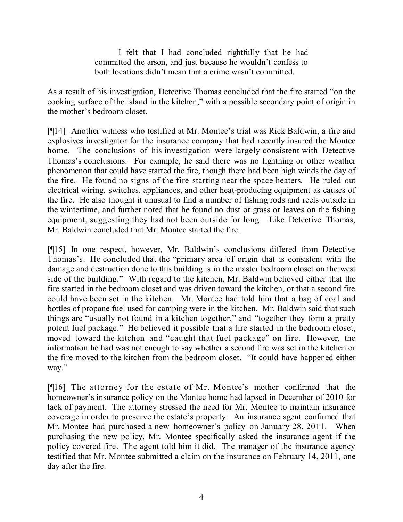I felt that I had concluded rightfully that he had committed the arson, and just because he wouldn't confess to both locations didn't mean that a crime wasn't committed.

As a result of his investigation, Detective Thomas concluded that the fire started "on the cooking surface of the island in the kitchen," with a possible secondary point of origin in the mother's bedroom closet.

[¶14] Another witness who testified at Mr. Montee's trial was Rick Baldwin, a fire and explosives investigator for the insurance company that had recently insured the Montee home. The conclusions of his investigation were largely consistent with Detective Thomas's conclusions. For example, he said there was no lightning or other weather phenomenon that could have started the fire, though there had been high winds the day of the fire. He found no signs of the fire starting near the space heaters. He ruled out electrical wiring, switches, appliances, and other heat-producing equipment as causes of the fire. He also thought it unusual to find a number of fishing rods and reels outside in the wintertime, and further noted that he found no dust or grass or leaves on the fishing equipment, suggesting they had not been outside for long. Like Detective Thomas, Mr. Baldwin concluded that Mr. Montee started the fire.

[¶15] In one respect, however, Mr. Baldwin's conclusions differed from Detective Thomas's. He concluded that the "primary area of origin that is consistent with the damage and destruction done to this building is in the master bedroom closet on the west side of the building." With regard to the kitchen, Mr. Baldwin believed either that the fire started in the bedroom closet and was driven toward the kitchen, or that a second fire could have been set in the kitchen. Mr. Montee had told him that a bag of coal and bottles of propane fuel used for camping were in the kitchen. Mr. Baldwin said that such things are "usually not found in a kitchen together," and "together they form a pretty potent fuel package." He believed it possible that a fire started in the bedroom closet, moved toward the kitchen and "caught that fuel package" on fire. However, the information he had was not enough to say whether a second fire was set in the kitchen or the fire moved to the kitchen from the bedroom closet. "It could have happened either way."

[¶16] The attorney for the estate of Mr. Montee's mother confirmed that the homeowner's insurance policy on the Montee home had lapsed in December of 2010 for lack of payment. The attorney stressed the need for Mr. Montee to maintain insurance coverage in order to preserve the estate's property. An insurance agent confirmed that Mr. Montee had purchased a new homeowner's policy on January 28, 2011. When purchasing the new policy, Mr. Montee specifically asked the insurance agent if the policy covered fire. The agent told him it did. The manager of the insurance agency testified that Mr. Montee submitted a claim on the insurance on February 14, 2011, one day after the fire.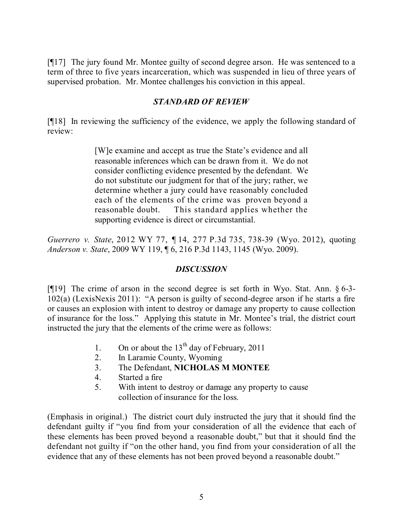[¶17] The jury found Mr. Montee guilty of second degree arson. He was sentenced to a term of three to five years incarceration, which was suspended in lieu of three years of supervised probation. Mr. Montee challenges his conviction in this appeal.

## *STANDARD OF REVIEW*

[¶18] In reviewing the sufficiency of the evidence, we apply the following standard of review:

> [W]e examine and accept as true the State's evidence and all reasonable inferences which can be drawn from it. We do not consider conflicting evidence presented by the defendant. We do not substitute our judgment for that of the jury; rather, we determine whether a jury could have reasonably concluded each of the elements of the crime was proven beyond a reasonable doubt. This standard applies whether the supporting evidence is direct or circumstantial.

*Guerrero v. State*, 2012 WY 77, ¶ 14, 277 P.3d 735, 738-39 (Wyo. 2012), quoting *Anderson v. State*, 2009 WY 119, ¶ 6, 216 P.3d 1143, 1145 (Wyo. 2009).

# *DISCUSSION*

[¶19] The crime of arson in the second degree is set forth in Wyo. Stat. Ann. § 6-3- 102(a) (LexisNexis 2011): "A person is guilty of second-degree arson if he starts a fire or causes an explosion with intent to destroy or damage any property to cause collection of insurance for the loss." Applying this statute in Mr. Montee's trial, the district court instructed the jury that the elements of the crime were as follows:

- 1. On or about the  $13<sup>th</sup>$  day of February, 2011
- 2. In Laramie County, Wyoming
- 3. The Defendant, **NICHOLAS M MONTEE**
- 4. Started a fire
- 5. With intent to destroy or damage any property to cause collection of insurance for the loss.

(Emphasis in original.) The district court duly instructed the jury that it should find the defendant guilty if "you find from your consideration of all the evidence that each of these elements has been proved beyond a reasonable doubt," but that it should find the defendant not guilty if "on the other hand, you find from your consideration of all the evidence that any of these elements has not been proved beyond a reasonable doubt."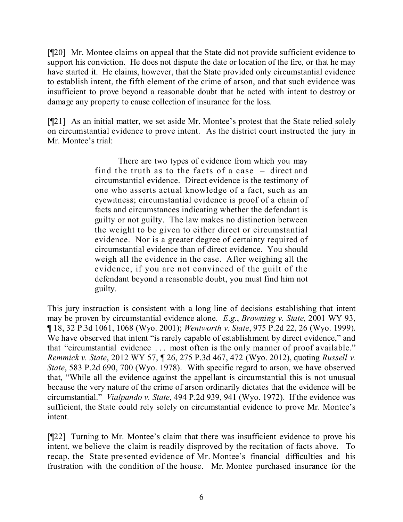[¶20] Mr. Montee claims on appeal that the State did not provide sufficient evidence to support his conviction. He does not dispute the date or location of the fire, or that he may have started it. He claims, however, that the State provided only circumstantial evidence to establish intent, the fifth element of the crime of arson, and that such evidence was insufficient to prove beyond a reasonable doubt that he acted with intent to destroy or damage any property to cause collection of insurance for the loss.

[¶21] As an initial matter, we set aside Mr. Montee's protest that the State relied solely on circumstantial evidence to prove intent. As the district court instructed the jury in Mr. Montee's trial:

> There are two types of evidence from which you may find the truth as to the facts of a case – direct and circumstantial evidence. Direct evidence is the testimony of one who asserts actual knowledge of a fact, such as an eyewitness; circumstantial evidence is proof of a chain of facts and circumstances indicating whether the defendant is guilty or not guilty. The law makes no distinction between the weight to be given to either direct or circumstantial evidence. Nor is a greater degree of certainty required of circumstantial evidence than of direct evidence. You should weigh all the evidence in the case. After weighing all the evidence, if you are not convinced of the guilt of the defendant beyond a reasonable doubt, you must find him not guilty.

This jury instruction is consistent with a long line of decisions establishing that intent may be proven by circumstantial evidence alone. *E*.*g*., *Browning v. State*, 2001 WY 93, ¶ 18, 32 P.3d 1061, 1068 (Wyo. 2001); *Wentworth v. State*, 975 P.2d 22, 26 (Wyo. 1999). We have observed that intent "is rarely capable of establishment by direct evidence," and that "circumstantial evidence . . . most often is the only manner of proof available." *Remmick v. State*, 2012 WY 57, ¶ 26, 275 P.3d 467, 472 (Wyo. 2012), quoting *Russell v. State*, 583 P.2d 690, 700 (Wyo. 1978). With specific regard to arson, we have observed that, "While all the evidence against the appellant is circumstantial this is not unusual because the very nature of the crime of arson ordinarily dictates that the evidence will be circumstantial." *Vialpando v. State*, 494 P.2d 939, 941 (Wyo. 1972). If the evidence was sufficient, the State could rely solely on circumstantial evidence to prove Mr. Montee's intent.

[¶22] Turning to Mr. Montee's claim that there was insufficient evidence to prove his intent, we believe the claim is readily disproved by the recitation of facts above. To recap, the State presented evidence of Mr. Montee's financial difficulties and his frustration with the condition of the house. Mr. Montee purchased insurance for the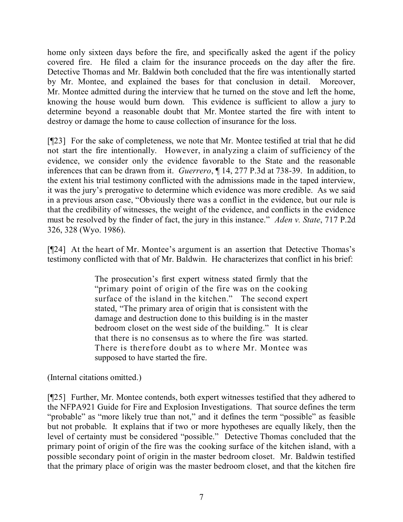home only sixteen days before the fire, and specifically asked the agent if the policy covered fire. He filed a claim for the insurance proceeds on the day after the fire. Detective Thomas and Mr. Baldwin both concluded that the fire was intentionally started by Mr. Montee, and explained the bases for that conclusion in detail. Moreover, Mr. Montee admitted during the interview that he turned on the stove and left the home, knowing the house would burn down. This evidence is sufficient to allow a jury to determine beyond a reasonable doubt that Mr. Montee started the fire with intent to destroy or damage the home to cause collection of insurance for the loss.

[¶23] For the sake of completeness, we note that Mr. Montee testified at trial that he did not start the fire intentionally. However, in analyzing a claim of sufficiency of the evidence, we consider only the evidence favorable to the State and the reasonable inferences that can be drawn from it. *Guerrero*, ¶ 14, 277 P.3d at 738-39. In addition, to the extent his trial testimony conflicted with the admissions made in the taped interview, it was the jury's prerogative to determine which evidence was more credible. As we said in a previous arson case, "Obviously there was a conflict in the evidence, but our rule is that the credibility of witnesses, the weight of the evidence, and conflicts in the evidence must be resolved by the finder of fact, the jury in this instance." *Aden v. State*, 717 P.2d 326, 328 (Wyo. 1986).

[¶24] At the heart of Mr. Montee's argument is an assertion that Detective Thomas's testimony conflicted with that of Mr. Baldwin. He characterizes that conflict in his brief:

> The prosecution's first expert witness stated firmly that the "primary point of origin of the fire was on the cooking surface of the island in the kitchen." The second expert stated, "The primary area of origin that is consistent with the damage and destruction done to this building is in the master bedroom closet on the west side of the building." It is clear that there is no consensus as to where the fire was started. There is therefore doubt as to where Mr. Montee was supposed to have started the fire.

(Internal citations omitted.)

[¶25] Further, Mr. Montee contends, both expert witnesses testified that they adhered to the NFPA921 Guide for Fire and Explosion Investigations. That source defines the term "probable" as "more likely true than not," and it defines the term "possible" as feasible but not probable. It explains that if two or more hypotheses are equally likely, then the level of certainty must be considered "possible." Detective Thomas concluded that the primary point of origin of the fire was the cooking surface of the kitchen island, with a possible secondary point of origin in the master bedroom closet. Mr. Baldwin testified that the primary place of origin was the master bedroom closet, and that the kitchen fire